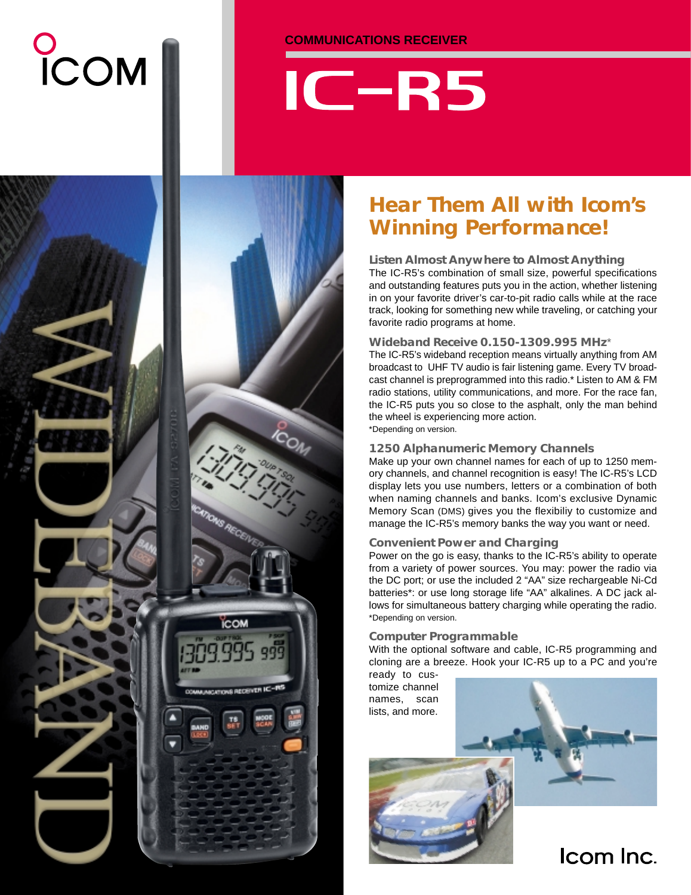# COM

## $IC-RS$



## *Hear Them All with Icom's Winning Performance!*

#### **Listen Almost Anywhere to Almost Anything**

The IC-R5's combination of small size, powerful specifications and outstanding features puts you in the action, whether listening in on your favorite driver's car-to-pit radio calls while at the race track, looking for something new while traveling, or catching your favorite radio programs at home.

#### **Wideband Receive 0.150-1309.995 MHz**\*

The IC-R5's wideband reception means virtually anything from AM broadcast to UHF TV audio is fair listening game. Every TV broadcast channel is preprogrammed into this radio.\* Listen to AM & FM radio stations, utility communications, and more. For the race fan, the IC-R5 puts you so close to the asphalt, only the man behind the wheel is experiencing more action. \*Depending on version.

#### **1250 Alphanumeric Memory Channels**

Make up your own channel names for each of up to 1250 memory channels, and channel recognition is easy! The IC-R5's LCD display lets you use numbers, letters or a combination of both when naming channels and banks. Icom's exclusive Dynamic Memory Scan (DMS) gives you the flexibiliy to customize and manage the IC-R5's memory banks the way you want or need.

#### **Convenient Power and Charging**

Power on the go is easy, thanks to the IC-R5's ability to operate from a variety of power sources. You may: power the radio via the DC port; or use the included 2 "AA" size rechargeable Ni-Cd batteries\*: or use long storage life "AA" alkalines. A DC jack allows for simultaneous battery charging while operating the radio. \*Depending on version.

#### **Computer Programmable**

With the optional software and cable, IC-R5 programming and cloning are a breeze. Hook your IC-R5 up to a PC and you're

ready to customize channel names, scan lists, and more.





Icom Inc.